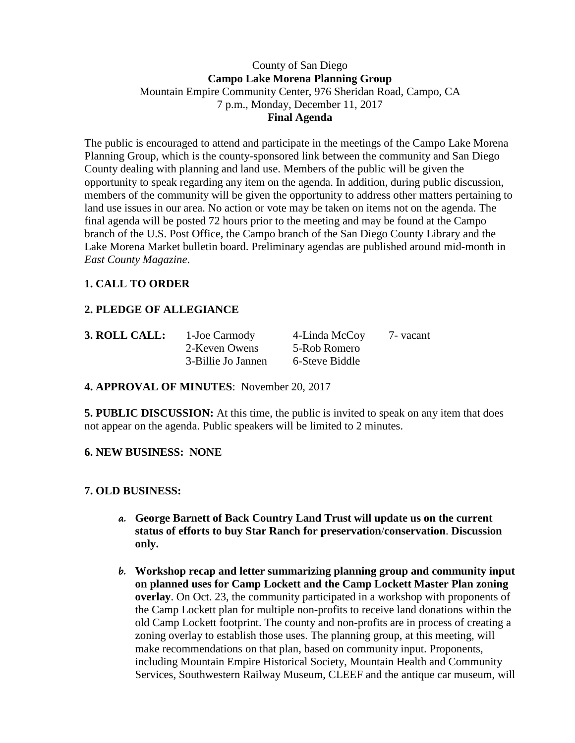### County of San Diego **Campo Lake Morena Planning Group** Mountain Empire Community Center, 976 Sheridan Road, Campo, CA 7 p.m., Monday, December 11, 2017 **Final Agenda**

The public is encouraged to attend and participate in the meetings of the Campo Lake Morena Planning Group, which is the county-sponsored link between the community and San Diego County dealing with planning and land use. Members of the public will be given the opportunity to speak regarding any item on the agenda. In addition, during public discussion, members of the community will be given the opportunity to address other matters pertaining to land use issues in our area. No action or vote may be taken on items not on the agenda. The final agenda will be posted 72 hours prior to the meeting and may be found at the Campo branch of the U.S. Post Office, the Campo branch of the San Diego County Library and the Lake Morena Market bulletin board. Preliminary agendas are published around mid-month in *East County Magazine*.

# **1. CALL TO ORDER**

## **2. PLEDGE OF ALLEGIANCE**

| 3. ROLL CALL: | 1-Joe Carmody      | 4-Linda McCoy  | 7 - vacant |
|---------------|--------------------|----------------|------------|
|               | 2-Keven Owens      | 5-Rob Romero   |            |
|               | 3-Billie Jo Jannen | 6-Steve Biddle |            |

### **4. APPROVAL OF MINUTES**: November 20, 2017

**5. PUBLIC DISCUSSION:** At this time, the public is invited to speak on any item that does not appear on the agenda. Public speakers will be limited to 2 minutes.

#### **6. NEW BUSINESS: NONE**

### **7. OLD BUSINESS:**

- **a. George Barnett of Back Country Land Trust will update us on the current status of efforts to buy Star Ranch for preservation**/**conservation**. **Discussion only.**
- **b. Workshop recap and letter summarizing planning group and community input on planned uses for Camp Lockett and the Camp Lockett Master Plan zoning overlay**. On Oct. 23, the community participated in a workshop with proponents of the Camp Lockett plan for multiple non-profits to receive land donations within the old Camp Lockett footprint. The county and non-profits are in process of creating a zoning overlay to establish those uses. The planning group, at this meeting, will make recommendations on that plan, based on community input. Proponents, including Mountain Empire Historical Society, Mountain Health and Community Services, Southwestern Railway Museum, CLEEF and the antique car museum, will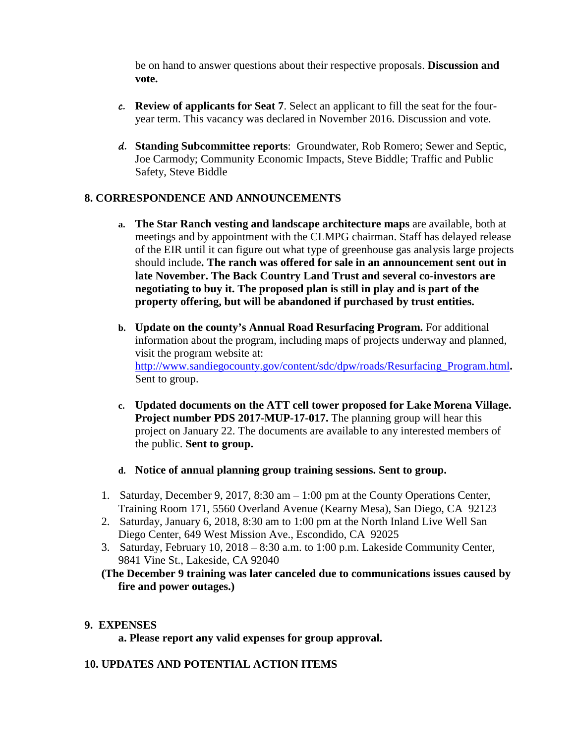be on hand to answer questions about their respective proposals. **Discussion and vote.**

- **c. Review of applicants for Seat 7**. Select an applicant to fill the seat for the fouryear term. This vacancy was declared in November 2016. Discussion and vote.
- **d. Standing Subcommittee reports**: Groundwater, Rob Romero; Sewer and Septic, Joe Carmody; Community Economic Impacts, Steve Biddle; Traffic and Public Safety, Steve Biddle

### **8. CORRESPONDENCE AND ANNOUNCEMENTS**

- **a. The Star Ranch vesting and landscape architecture maps** are available, both at meetings and by appointment with the CLMPG chairman. Staff has delayed release of the EIR until it can figure out what type of greenhouse gas analysis large projects should include**. The ranch was offered for sale in an announcement sent out in late November. The Back Country Land Trust and several co-investors are negotiating to buy it. The proposed plan is still in play and is part of the property offering, but will be abandoned if purchased by trust entities.**
- **b. Update on the county's Annual Road Resurfacing Program.** For additional information about the program, including maps of projects underway and planned, visit the program website at: [http://www.sandiegocounty.gov/content/sdc/dpw/roads/Resurfacing\\_Program.html](http://www.sandiegocounty.gov/content/sdc/dpw/roads/Resurfacing_Program.html)**.**  Sent to group.
- **c. Updated documents on the ATT cell tower proposed for Lake Morena Village. Project number PDS 2017-MUP-17-017.** The planning group will hear this project on January 22. The documents are available to any interested members of the public. **Sent to group.**
- **d. Notice of annual planning group training sessions. Sent to group.**
- 1. Saturday, December 9, 2017, 8:30 am 1:00 pm at the County Operations Center, Training Room 171, 5560 Overland Avenue (Kearny Mesa), San Diego, CA 92123
- 2. Saturday, January 6, 2018, 8:30 am to 1:00 pm at the North Inland Live Well San Diego Center, 649 West Mission Ave., Escondido, CA 92025
- 3. Saturday, February 10, 2018 8:30 a.m. to 1:00 p.m. Lakeside Community Center, 9841 Vine St., Lakeside, CA 92040
- **(The December 9 training was later canceled due to communications issues caused by fire and power outages.)**

#### **9. EXPENSES**

**a. Please report any valid expenses for group approval.**

### **10. UPDATES AND POTENTIAL ACTION ITEMS**